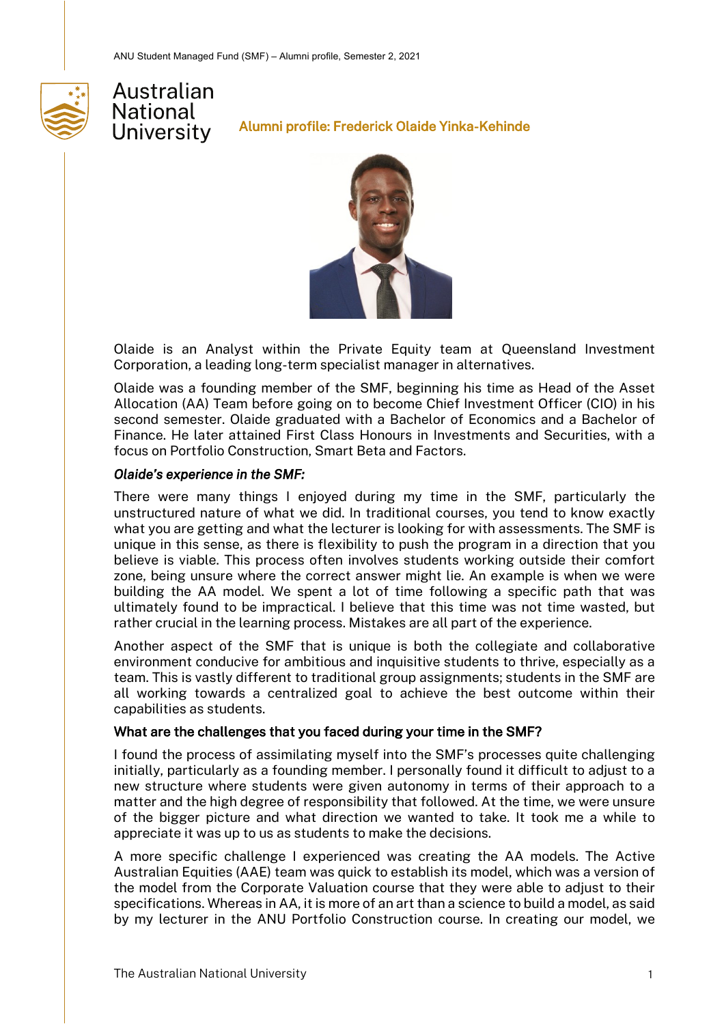



Alumni profile: Frederick Olaide Yinka-Kehinde



Olaide is an Analyst within the Private Equity team at Queensland Investment Corporation, a leading long-term specialist manager in alternatives.

Olaide was a founding member of the SMF, beginning his time as Head of the Asset Allocation (AA) Team before going on to become Chief Investment Officer (CIO) in his second semester. Olaide graduated with a Bachelor of Economics and a Bachelor of Finance. He later attained First Class Honours in Investments and Securities, with a focus on Portfolio Construction, Smart Beta and Factors.

### *Olaide's experience in the SMF:*

There were many things I enjoyed during my time in the SMF, particularly the unstructured nature of what we did. In traditional courses, you tend to know exactly what you are getting and what the lecturer is looking for with assessments. The SMF is unique in this sense, as there is flexibility to push the program in a direction that you believe is viable. This process often involves students working outside their comfort zone, being unsure where the correct answer might lie. An example is when we were building the AA model. We spent a lot of time following a specific path that was ultimately found to be impractical. I believe that this time was not time wasted, but rather crucial in the learning process. Mistakes are all part of the experience.

Another aspect of the SMF that is unique is both the collegiate and collaborative environment conducive for ambitious and inquisitive students to thrive, especially as a team. This is vastly different to traditional group assignments; students in the SMF are all working towards a centralized goal to achieve the best outcome within their capabilities as students.

### What are the challenges that you faced during your time in the SMF?

I found the process of assimilating myself into the SMF's processes quite challenging initially, particularly as a founding member. I personally found it difficult to adjust to a new structure where students were given autonomy in terms of their approach to a matter and the high degree of responsibility that followed. At the time, we were unsure of the bigger picture and what direction we wanted to take. It took me a while to appreciate it was up to us as students to make the decisions.

A more specific challenge I experienced was creating the AA models. The Active Australian Equities (AAE) team was quick to establish its model, which was a version of the model from the Corporate Valuation course that they were able to adjust to their specifications. Whereas in AA, it is more of an art than a science to build a model, as said by my lecturer in the ANU Portfolio Construction course. In creating our model, we